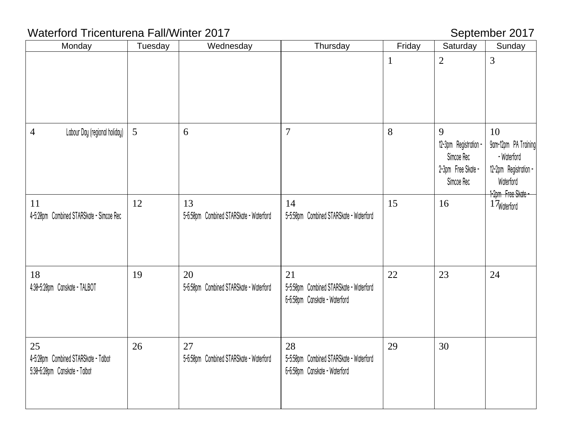# Waterford Tricenturena Fall/Winter 2017 Material Communication September 2017

| Monday                                                                      | Tuesday | Wednesday                                     | Thursday                                                                       | Friday       | Saturday                                                                     | Sunday                                                                                                |
|-----------------------------------------------------------------------------|---------|-----------------------------------------------|--------------------------------------------------------------------------------|--------------|------------------------------------------------------------------------------|-------------------------------------------------------------------------------------------------------|
|                                                                             |         |                                               |                                                                                | $\mathbf{1}$ | $\overline{2}$                                                               | 3                                                                                                     |
| Labour Day (regional holiday)<br>$\overline{4}$                             | 5       | 6                                             | $\overline{7}$                                                                 | 8            | 9<br>12-3pm Registration -<br>Simcoe Rec<br>2-3pm Free Skate -<br>Simcoe Rec | 10<br>9am-12pm PA Training<br>- Waterford<br>12-2pm Registration -<br>Waterford<br>1-2pm Free Skate - |
| 11<br>4-5:20pm Combined STARSkate - Simcoe Rec                              | 12      | 13<br>5-6:50pm Combined STARSkate - Waterford | 14<br>5-5:50pm Combined STARSkate - Waterford                                  | 15           | 16                                                                           | 1 Waterford                                                                                           |
| 18<br>4:30-5:20pm Canskate - TALBOT                                         | 19      | 20<br>5-6:50pm Combined STARSkate - Waterford | 21<br>5-5:50pm Combined STARSkate - Waterford<br>6-6:50pm Canskate - Waterford | 22           | 23                                                                           | 24                                                                                                    |
| 25<br>4-5:20pm Combined STARSkate - Talbot<br>5:30-6:20pm Canskate - Talbot | 26      | 27<br>5-6:50pm Combined STARSkate - Waterford | 28<br>5-5:50pm Combined STARSkate - Waterford<br>6-6:50pm Canskate - Waterford | 29           | 30                                                                           |                                                                                                       |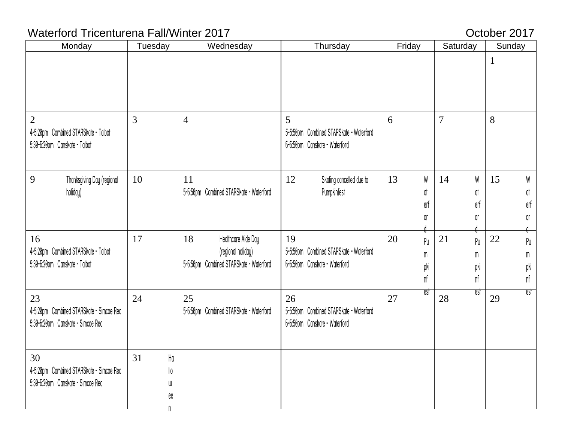# Waterford Tricenturena Fall/Winter 2017 **CENN CONSTRANT CONSTRANT CONSTRANT CONSTRANT CONSTRANT CONSTRANT CONSTR**

| Monday                                                                                  | Tuesday                               | Wednesday                                                                                  | Thursday                                                                       | Friday                     | Saturday                   | Sunday                                        |
|-----------------------------------------------------------------------------------------|---------------------------------------|--------------------------------------------------------------------------------------------|--------------------------------------------------------------------------------|----------------------------|----------------------------|-----------------------------------------------|
|                                                                                         |                                       |                                                                                            |                                                                                |                            |                            | $\mathbf{1}$                                  |
| $\overline{2}$<br>4-5:20pm Combined STARSkate - Talbot<br>5:30-6:20pm Canskate - Talbot | 3                                     | $\overline{4}$                                                                             | 5<br>5-5:50pm Combined STARSkate - Waterford<br>6-6:50pm Canskate - Waterford  | 6                          | $\overline{7}$             | 8                                             |
| 9<br>Thanksgiving Day (regional<br>holiday)                                             | 10                                    | 11<br>5-6:50pm Combined STARSkate - Waterford                                              | 12<br>Skating cancelled due to<br>Pumpkinfest                                  | 13<br>W<br>đt<br>erf<br>Oľ | W<br>14<br>đt<br>erf<br>Oľ | 15<br>W<br>at<br>erf<br>Oľ                    |
| 16<br>4-5:20pm Combined STARSkate - Talbot<br>5:30-6:20pm Canskate - Talbot             | 17                                    | 18<br>Healthcare Aide Day<br>(regional holiday)<br>5-6:50pm Combined STARSkate - Waterford | 19<br>5-5:50pm Combined STARSkate - Waterford<br>6-6:50pm Canskate - Waterford | 20<br>Pu<br>m<br>pki<br>nf | 21<br>Pu<br>m<br>pki<br>nf | 22<br>Pu<br>${\tt M}$<br>pki<br>$\mathsf{nf}$ |
| 23<br>4-5:20pm Combined STARSkate - Simcoe Rec<br>5:30-6:20pm Canskate - Simcoe Rec     | 24                                    | 25<br>5-6:50pm Combined STARSkate - Waterford                                              | 26<br>5-5:50pm Combined STARSkate - Waterford<br>6-6:50pm Canskate - Waterford | est<br>27                  | est<br>28                  | est<br>29                                     |
| 30<br>4-5:20pm Combined STARSkate - Simcoe Rec<br>5:30-6:20pm Canskate - Simcoe Rec     | 31<br>$\rm H\alpha$<br>llo<br>W<br>ee |                                                                                            |                                                                                |                            |                            |                                               |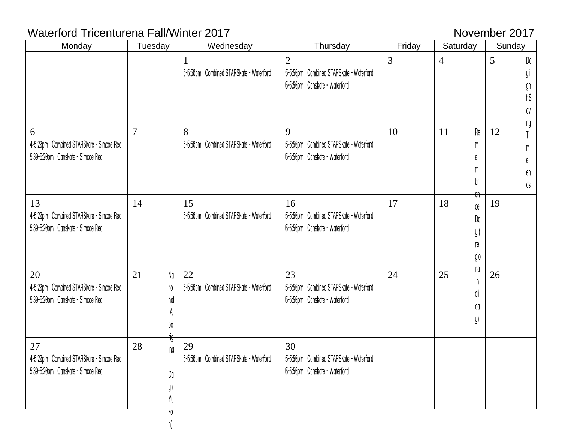# Waterford Tricenturena Fall/Winter 2017 Movember 2017

| Monday                                                                              | Tuesday                                  | Wednesday                                               | Thursday                                                                                   | Friday | Saturday                                               | Sunday                          |
|-------------------------------------------------------------------------------------|------------------------------------------|---------------------------------------------------------|--------------------------------------------------------------------------------------------|--------|--------------------------------------------------------|---------------------------------|
|                                                                                     |                                          | $\mathbf{1}$<br>5-6:50pm Combined STARSkate - Waterford | $\overline{2}$<br>5-5:50pm Combined STARSkate - Waterford<br>6-6:50pm Canskate - Waterford | 3      | $\overline{4}$                                         | 5<br>Da<br>gn<br>tS<br>avi      |
| 6<br>4-5:20pm Combined STARSkate - Simcoe Rec<br>5:30-6:20pm Canskate - Simcoe Rec  | 7                                        | 8<br>5-6:50pm Combined STARSkate - Waterford            | 9<br>5-5:50pm Combined STARSkate - Waterford<br>6-6:50pm Canskate - Waterford              | 10     | Re<br>11<br>m<br>e<br>m<br>br<br>ਗੀ⊤                   | ĥĢ<br>12<br>Ti<br>m<br>en<br>ďs |
| 13<br>4-5:20pm Combined STARSkate - Simcoe Rec<br>5:30-6:20pm Canskate - Simcoe Rec | 14                                       | 15<br>5-6:50pm Combined STARSkate - Waterford           | 16<br>5-5:50pm Combined STARSkate - Waterford<br>6-6:50pm Canskate - Waterford             | 17     | 18<br>$\mathbb{C}\mathsf{e}$<br>Da<br>y (<br>re<br>gio | 19                              |
| 20<br>4-5:20pm Combined STARSkate - Simcoe Rec<br>5:30-6:20pm Canskate - Simcoe Rec | Na<br>21<br>tio<br>nal<br>Þ0             | 22<br>5-6:50pm Combined STARSkate - Waterford           | 23<br>5-5:50pm Combined STARSkate - Waterford<br>6-6:50pm Canskate - Waterford             | 24     | nal<br>25<br>oli<br>da<br>y)                           | 26                              |
| 27<br>4-5:20pm Combined STARSkate - Simcoe Rec<br>5:30-6:20pm Canskate - Simcoe Rec | flG<br>28<br>ina<br>Da<br>y(<br>Yu<br>ko | 29<br>5-6:50pm Combined STARSkate - Waterford           | 30<br>5-5:50pm Combined STARSkate - Waterford<br>6-6:50pm Canskate - Waterford             |        |                                                        |                                 |

n)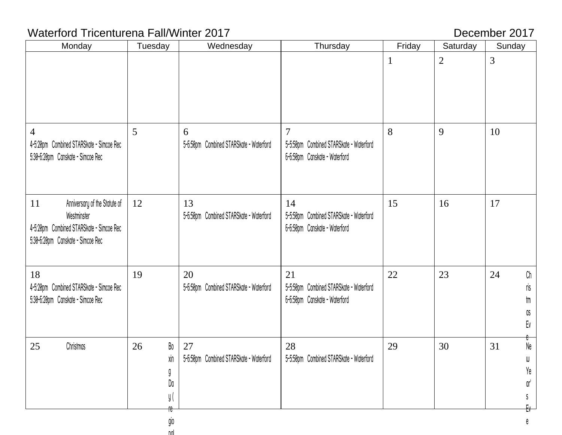# Waterford Tricenturena Fall/Winter 2017 December 2017

gio nal

| Monday                                                                                                                              | Tuesday                            | Wednesday                                     | Thursday                                                                                   | Friday      | Saturday       | Sunday                                                |
|-------------------------------------------------------------------------------------------------------------------------------------|------------------------------------|-----------------------------------------------|--------------------------------------------------------------------------------------------|-------------|----------------|-------------------------------------------------------|
|                                                                                                                                     |                                    |                                               |                                                                                            | $\mathbf 1$ | $\overline{2}$ | $\mathfrak{Z}$                                        |
|                                                                                                                                     |                                    |                                               |                                                                                            |             |                |                                                       |
| 4<br>4-5:20pm Combined STARSkate - Simcoe Rec<br>5:30-6:20pm Canskate - Simcoe Rec                                                  | 5                                  | 6<br>5-6:50pm Combined STARSkate - Waterford  | $\overline{7}$<br>5-5:50pm Combined STARSkate - Waterford<br>6-6:50pm Canskate - Waterford | 8           | 9              | 10                                                    |
| 11<br>Anniversary of the Statute of<br>Westminster<br>4-5:20pm Combined STARSkate - Simcoe Rec<br>5:30-6:20pm Canskate - Simcoe Rec | 12                                 | 13<br>5-6:50pm Combined STARSkate - Waterford | 14<br>5-5:50pm Combined STARSkate - Waterford<br>6-6:50pm Canskate - Waterford             | 15          | 16             | 17                                                    |
| 18<br>4-5:20pm Combined STARSkate - Simcoe Rec<br>5:30-6:20pm Canskate - Simcoe Rec                                                 | 19                                 | 20<br>5-6:50pm Combined STARSkate - Waterford | 21<br>5-5:50pm Combined STARSkate - Waterford<br>6-6:50pm Canskate - Waterford             | 22          | 23             | $\mathbb{C}\mathsf{h}$<br>24<br>ris<br>tm<br>as<br>Ev |
| 25<br>Christmas                                                                                                                     | Bo<br>26<br>xin<br>Da<br>y(<br>re- | 27<br>5-6:50pm Combined STARSkate - Waterford | 28<br>5-5:50pm Combined STARSkate - Waterford                                              | 29          | 30             | ᠊ᡛ<br>Ne<br>31<br>W<br>Ye<br>ar'<br>E                 |

e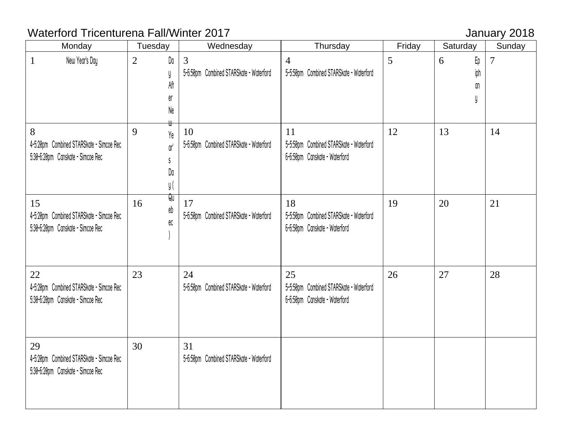# Waterford Tricenturena Fall/Winter 2017 **Vaterford Tricenturena Fall/Winter 2017**

| Monday                                                                              | Tuesday                                                                  | Wednesday                                                 | Thursday                                                                       | Friday | Saturday             | Sunday |
|-------------------------------------------------------------------------------------|--------------------------------------------------------------------------|-----------------------------------------------------------|--------------------------------------------------------------------------------|--------|----------------------|--------|
| New Year's Day<br>$\mathbf{1}$                                                      | Da<br>$\overline{2}$<br>y<br>Aff<br>er<br>Ne                             | $\overline{3}$<br>5-6:50pm Combined STARSkate - Waterford | $\overline{4}$<br>5-5:50pm Combined STARSkate - Waterford                      | 5      | Еp<br>6<br>iph<br>۵n | 7      |
| 8<br>4-5:20pm Combined STARSkate - Simcoe Rec<br>5:30-6:20pm Canskate - Simcoe Rec  | 9<br>Ye<br>$\mathbb{Q}^{\mathsf{r}^\prime}$<br><sub>S</sub><br>Da<br>y ( | 10<br>5-6:50pm Combined STARSkate - Waterford             | 11<br>5-5:50pm Combined STARSkate - Waterford<br>6-6:50pm Canskate - Waterford | 12     | 13                   | 14     |
| 15<br>4-5:20pm Combined STARSkate - Simcoe Rec<br>5:30-6:20pm Canskate - Simcoe Rec | भि<br>16<br>eb<br>ec                                                     | 17<br>5-6:50pm Combined STARSkate - Waterford             | 18<br>5-5:50pm Combined STARSkate - Waterford<br>6-6:50pm Canskate - Waterford | 19     | 20                   | 21     |
| 22<br>4-5:20pm Combined STARSkate - Simcoe Rec<br>5:30-6:20pm Canskate - Simcoe Rec | 23                                                                       | 24<br>5-6:50pm Combined STARSkate - Waterford             | 25<br>5-5:50pm Combined STARSkate - Waterford<br>6-6:50pm Canskate - Waterford | 26     | 27                   | 28     |
| 29<br>4-5:20pm Combined STARSkate - Simcoe Rec<br>5:30-6:20pm Canskate - Simcoe Rec | 30                                                                       | 31<br>5-6:50pm Combined STARSkate - Waterford             |                                                                                |        |                      |        |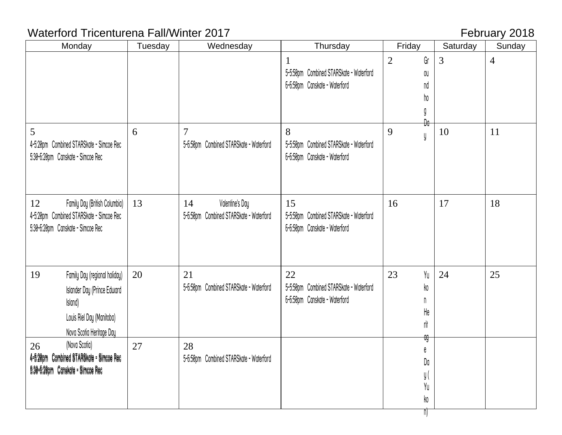# Waterford Tricenturena Fall/Winter 2017 **February 2018**

| Monday                                                                        | Tuesday | Wednesday                               | Thursday                                                                 | Friday               | Saturday | Sunday         |
|-------------------------------------------------------------------------------|---------|-----------------------------------------|--------------------------------------------------------------------------|----------------------|----------|----------------|
|                                                                               |         |                                         |                                                                          | Gr<br>$\overline{2}$ | 3        | $\overline{4}$ |
|                                                                               |         |                                         | 5-5:50pm Combined STARSkate - Waterford                                  | OU                   |          |                |
|                                                                               |         |                                         | 6-6:50pm Canskate - Waterford                                            | na                   |          |                |
|                                                                               |         |                                         |                                                                          | ho                   |          |                |
|                                                                               |         |                                         |                                                                          | g                    |          |                |
| 5                                                                             | 6       | 7                                       | 8                                                                        | Đa<br>9              | 10       | 11             |
| 4-5:20pm Combined STARSkate - Simcoe Rec                                      |         | 5-6:50pm Combined STARSkate - Waterford | 5-5:50pm Combined STARSkate - Waterford                                  | y                    |          |                |
| 5:30-6:20pm Canskate - Simcoe Rec                                             |         |                                         | 6-6:50pm Canskate - Waterford                                            |                      |          |                |
|                                                                               |         |                                         |                                                                          |                      |          |                |
|                                                                               |         |                                         |                                                                          |                      |          |                |
|                                                                               |         |                                         |                                                                          |                      |          |                |
| Family Day (British Columbia)<br>12                                           | 13      | Valentine's Day<br>14                   | 15                                                                       | 16                   | 17       | 18             |
| 4-5:20pm Combined STARSkate - Simcoe Rec<br>5:30-6:20pm Canskate - Simcoe Rec |         | 5-6:50pm Combined STARSkate - Waterford | 5-5:50pm Combined STARSkate - Waterford<br>6-6:50pm Canskate - Waterford |                      |          |                |
|                                                                               |         |                                         |                                                                          |                      |          |                |
|                                                                               |         |                                         |                                                                          |                      |          |                |
|                                                                               |         |                                         |                                                                          |                      |          |                |
| 19<br>Family Day (regional holiday)                                           | 20      | 21                                      | 22                                                                       | Yu<br>23             | 24       | 25             |
| <b>Islander Day (Prince Edward</b>                                            |         | 5-6:50pm Combined STARSkate - Waterford | 5-5:50pm Combined STARSkate - Waterford                                  | ko                   |          |                |
| Island)                                                                       |         |                                         | 6-6:50pm Canskate - Waterford                                            | n                    |          |                |
| Louis Riel Day (Manitoba)                                                     |         |                                         |                                                                          | He                   |          |                |
| Nova Scotia Heritage Day                                                      |         |                                         |                                                                          | rit                  |          |                |
| (Nova Scotia)<br>26                                                           | 27      | 28                                      |                                                                          | ag                   |          |                |
| 4=5:20pm Combined STARSkate = Simcoe Rec                                      |         | 5-6:50pm Combined STARSkate - Waterford |                                                                          | e<br>Da              |          |                |
| 5:30-5:20pm Canskate = Simcoe Rec                                             |         |                                         |                                                                          | y (                  |          |                |
|                                                                               |         |                                         |                                                                          | Yu                   |          |                |
|                                                                               |         |                                         |                                                                          | ko                   |          |                |
|                                                                               |         |                                         |                                                                          | $\mathbb{D}$         |          |                |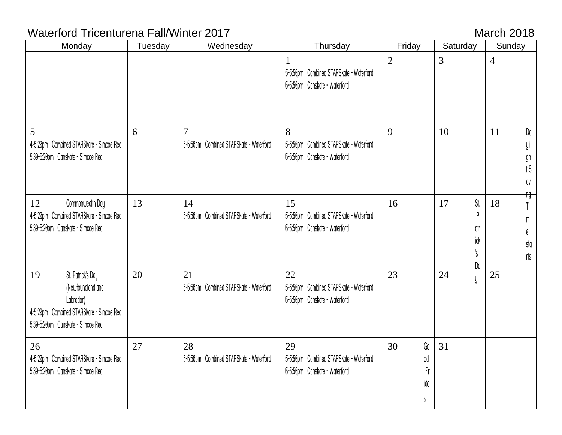# Waterford Tricenturena Fall/Winter 2017 March 2018

| Monday                                                                                                                                     | Tuesday | Wednesday                                                 | Thursday                                                                       | Friday                           | Saturday                           | Sunday                                                    |
|--------------------------------------------------------------------------------------------------------------------------------------------|---------|-----------------------------------------------------------|--------------------------------------------------------------------------------|----------------------------------|------------------------------------|-----------------------------------------------------------|
|                                                                                                                                            |         |                                                           | 1<br>5-5:50pm Combined STARSkate - Waterford<br>6-6:50pm Canskate - Waterford  | $\overline{2}$                   | 3                                  | $\overline{4}$                                            |
| 5<br>4-5:20pm Combined STARSkate - Simcoe Rec<br>5:30-6:20pm Canskate - Simcoe Rec                                                         | 6       | $\overline{7}$<br>5-6:50pm Combined STARSkate - Waterford | 8<br>5-5:50pm Combined STARSkate - Waterford<br>6-6:50pm Canskate - Waterford  | 9                                | 10                                 | Da<br>11<br>yli<br>gh<br>$\dagger \mathbb{S}$<br>avi      |
| Commonwealth Day<br>12<br>4-5:20pm Combined STARSkate - Simcoe Rec<br>5:30-6:20pm Canskate - Simcoe Rec                                    | 13      | 14<br>5-6:50pm Combined STARSkate - Waterford             | 15<br>5-5:50pm Combined STARSkate - Waterford<br>6-6:50pm Canskate - Waterford | 16                               | 17<br>St.<br>p<br>dtr<br>ick<br>₿¢ | fig-<br>18<br>Ti<br>${\tt M}$<br>e<br>sta<br>$\mathsf{u}$ |
| St. Patrick's Day<br>19<br>(Newfoundland and<br>Labrador)<br>4-5:20pm Combined STARSkate - Simcoe Rec<br>5:30-6:20pm Canskate - Simcoe Rec | 20      | 21<br>5-6:50pm Combined STARSkate - Waterford             | 22<br>5-5:50pm Combined STARSkate - Waterford<br>6-6:50pm Canskate - Waterford | 23                               | 24<br>y                            | 25                                                        |
| 26<br>4-5:20pm Combined STARSkate - Simcoe Rec<br>5:30-6:20pm Canskate - Simcoe Rec                                                        | 27      | 28<br>5-6:50pm Combined STARSkate - Waterford             | 29<br>5-5:50pm Combined STARSkate - Waterford<br>6-6:50pm Canskate - Waterford | 30<br>Go<br>0d<br>Fr<br>ida<br>y | 31                                 |                                                           |